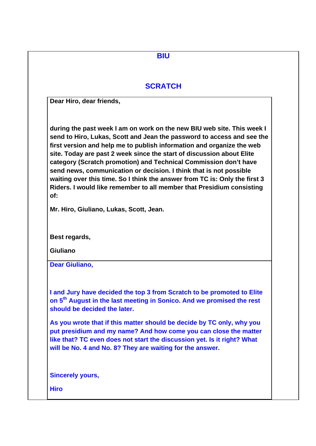| <b>SCRATCH</b>          |                                                                                                                                                                                                                                                                                                                                                                                                                                                                                                                                                                                                     |
|-------------------------|-----------------------------------------------------------------------------------------------------------------------------------------------------------------------------------------------------------------------------------------------------------------------------------------------------------------------------------------------------------------------------------------------------------------------------------------------------------------------------------------------------------------------------------------------------------------------------------------------------|
|                         | Dear Hiro, dear friends,                                                                                                                                                                                                                                                                                                                                                                                                                                                                                                                                                                            |
| of:                     | during the past week I am on work on the new BIU web site. This week I<br>send to Hiro, Lukas, Scott and Jean the password to access and see the<br>first version and help me to publish information and organize the web<br>site. Today are past 2 week since the start of discussion about Elite<br>category (Scratch promotion) and Technical Commission don't have<br>send news, communication or decision. I think that is not possible<br>waiting over this time. So I think the answer from TC is: Only the first 3<br>Riders. I would like remember to all member that Presidium consisting |
|                         | Mr. Hiro, Giuliano, Lukas, Scott, Jean.                                                                                                                                                                                                                                                                                                                                                                                                                                                                                                                                                             |
| Best regards,           |                                                                                                                                                                                                                                                                                                                                                                                                                                                                                                                                                                                                     |
| <b>Giuliano</b>         |                                                                                                                                                                                                                                                                                                                                                                                                                                                                                                                                                                                                     |
| <b>Dear Giuliano,</b>   |                                                                                                                                                                                                                                                                                                                                                                                                                                                                                                                                                                                                     |
|                         | I and Jury have decided the top 3 from Scratch to be promoted to Elite<br>on 5 <sup>th</sup> August in the last meeting in Sonico. And we promised the rest<br>should be decided the later.<br>As you wrote that if this matter should be decide by TC only, why you<br>put presidium and my name? And how come you can close the matter<br>like that? TC even does not start the discussion yet. Is it right? What<br>will be No. 4 and No. 8? They are waiting for the answer.                                                                                                                    |
| <b>Sincerely yours,</b> |                                                                                                                                                                                                                                                                                                                                                                                                                                                                                                                                                                                                     |
| <b>Hiro</b>             |                                                                                                                                                                                                                                                                                                                                                                                                                                                                                                                                                                                                     |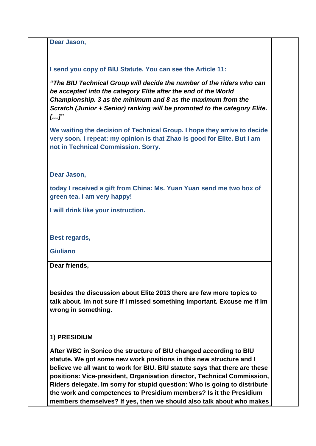**Dear Jason,**

#### **I send you copy of BIU Statute. You can see the Article 11:**

*"The BIU Technical Group will decide the number of the riders who can be accepted into the category Elite after the end of the World Championship. 3 as the minimum and 8 as the maximum from the Scratch (Junior + Senior) ranking will be promoted to the category Elite. […]"*

**We waiting the decision of Technical Group. I hope they arrive to decide very soon. I repeat: my opinion is that Zhao is good for Elite. But I am not in Technical Commission. Sorry.**

**Dear Jason,**

**today I received a gift from China: Ms. Yuan Yuan send me two box of green tea. I am very happy!** 

**I will drink like your instruction.** 

**Best regards,**

**Giuliano**

**Dear friends,**

**besides the discussion about Elite 2013 there are few more topics to talk about. Im not sure if I missed something important. Excuse me if Im wrong in something.**

#### **1) PRESIDIUM**

**After WBC in Sonico the structure of BIU changed according to BIU statute. We got some new work positions in this new structure and I believe we all want to work for BIU. BIU statute says that there are these positions: Vice-president, Organisation director, Technical Commission, Riders delegate. Im sorry for stupid question: Who is going to distribute the work and competences to Presidium members? Is it the Presidium members themselves? If yes, then we should also talk about who makes**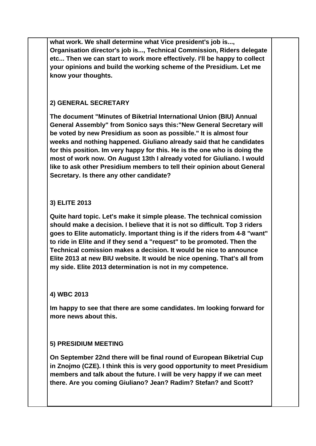**what work. We shall determine what Vice president's job is..., Organisation director's job is..., Technical Commission, Riders delegate etc... Then we can start to work more effectively. I'll be happy to collect your opinions and build the working scheme of the Presidium. Let me know your thoughts.**

## **2) GENERAL SECRETARY**

**The document "Minutes of Biketrial International Union (BIU) Annual General Assembly" from Sonico says this:"New General Secretary will be voted by new Presidium as soon as possible." It is almost four weeks and nothing happened. Giuliano already said that he candidates for this position. Im very happy for this. He is the one who is doing the most of work now. On August 13th I already voted for Giuliano. I would like to ask other Presidium members to tell their opinion about General Secretary. Is there any other candidate?**

## **3) ELITE 2013**

**Quite hard topic. Let's make it simple please. The technical comission should make a decision. I believe that it is not so difficult. Top 3 riders goes to Elite automaticly. Important thing is if the riders from 4-8 "want" to ride in Elite and if they send a "request" to be promoted. Then the Technical comission makes a decision. It would be nice to announce Elite 2013 at new BIU website. It would be nice opening. That's all from my side. Elite 2013 determination is not in my competence.**

### **4) WBC 2013**

**Im happy to see that there are some candidates. Im looking forward for more news about this.**

### **5) PRESIDIUM MEETING**

**On September 22nd there will be final round of European Biketrial Cup in Znojmo (CZE). I think this is very good opportunity to meet Presidium members and talk about the future. I will be very happy if we can meet there. Are you coming Giuliano? Jean? Radim? Stefan? and Scott?**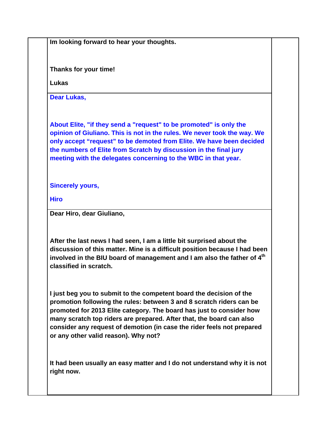**Im looking forward to hear your thoughts.**

**Thanks for your time!**

**Lukas**

**Dear Lukas,**

**About Elite, "if they send a "request" to be promoted" is only the opinion of Giuliano. This is not in the rules. We never took the way. We only accept "request" to be demoted from Elite. We have been decided the numbers of Elite from Scratch by discussion in the final jury meeting with the delegates concerning to the WBC in that year.** 

**Sincerely yours,**

**Hiro**

**Dear Hiro, dear Giuliano,**

**After the last news I had seen, I am a little bit surprised about the discussion of this matter. Mine is a difficult position because I had been involved in the BIU board of management and I am also the father of 4th classified in scratch.**

**I just beg you to submit to the competent board the decision of the promotion following the rules: between 3 and 8 scratch riders can be promoted for 2013 Elite category. The board has just to consider how many scratch top riders are prepared. After that, the board can also consider any request of demotion (in case the rider feels not prepared or any other valid reason). Why not?**

**It had been usually an easy matter and I do not understand why it is not right now.**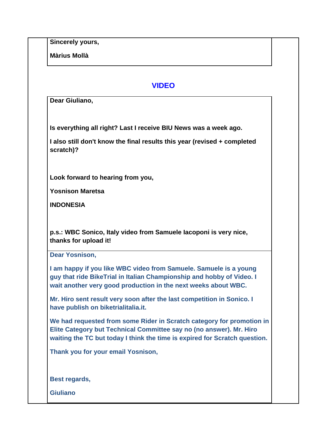**Màrius Mollà**

# **VIDEO**

**Dear Giuliano,**

**Is everything all right? Last I receive BIU News was a week ago.**

**I also still don't know the final results this year (revised + completed scratch)?**

**Look forward to hearing from you,**

**Yosnison Maretsa**

**INDONESIA**

**p.s.: WBC Sonico, Italy video from Samuele Iacoponi is very nice, thanks for upload it!**

**Dear Yosnison,**

**I am happy if you like WBC video from Samuele. Samuele is a young guy that ride BikeTrial in Italian Championship and hobby of Video. I wait another very good production in the next weeks about WBC.** 

**Mr. Hiro sent result very soon after the last competition in Sonico. I have publish on biketrialitalia.it.** 

**We had requested from some Rider in Scratch category for promotion in Elite Category but Technical Committee say no (no answer). Mr. Hiro waiting the TC but today I think the time is expired for Scratch question.** 

**Thank you for your email Yosnison,**

**Best regards,**

**Giuliano**